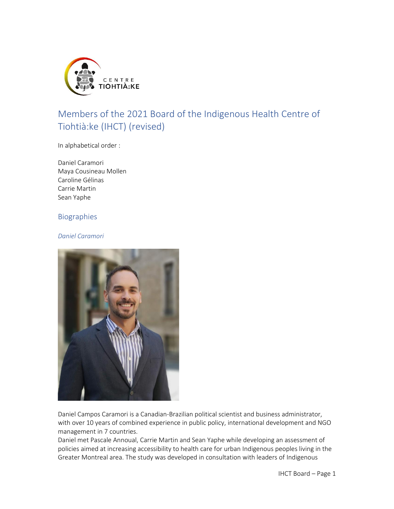

# Members of the 2021 Board of the Indigenous Health Centre of Tiohtià:ke (IHCT) (revised)

In alphabetical order :

Daniel Caramori Maya Cousineau Mollen Caroline Gélinas Carrie Martin Sean Yaphe

# Biographies

### *Daniel Caramori*



Daniel Campos Caramori is a Canadian-Brazilian political scientist and business administrator, with over 10 years of combined experience in public policy, international development and NGO management in 7 countries.

Daniel met Pascale Annoual, Carrie Martin and Sean Yaphe while developing an assessment of policies aimed at increasing accessibility to health care for urban Indigenous peoples living in the Greater Montreal area. The study was developed in consultation with leaders of Indigenous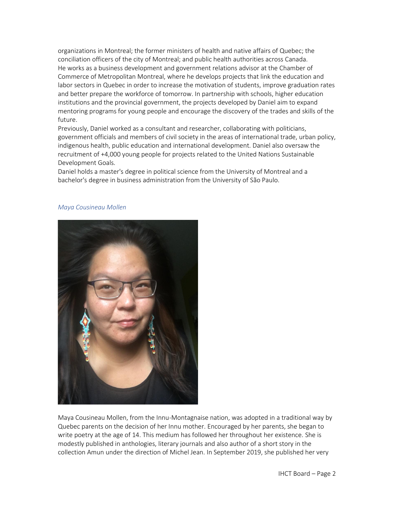organizations in Montreal; the former ministers of health and native affairs of Quebec; the conciliation officers of the city of Montreal; and public health authorities across Canada. He works as a business development and government relations advisor at the Chamber of Commerce of Metropolitan Montreal, where he develops projects that link the education and labor sectors in Quebec in order to increase the motivation of students, improve graduation rates and better prepare the workforce of tomorrow. In partnership with schools, higher education institutions and the provincial government, the projects developed by Daniel aim to expand mentoring programs for young people and encourage the discovery of the trades and skills of the future.

Previously, Daniel worked as a consultant and researcher, collaborating with politicians, government officials and members of civil society in the areas of international trade, urban policy, indigenous health, public education and international development. Daniel also oversaw the recruitment of +4,000 young people for projects related to the United Nations Sustainable Development Goals.

Daniel holds a master's degree in political science from the University of Montreal and a bachelor's degree in business administration from the University of São Paulo.

#### *Maya Cousineau Mollen*



Maya Cousineau Mollen, from the Innu-Montagnaise nation, was adopted in a traditional way by Quebec parents on the decision of her Innu mother. Encouraged by her parents, she began to write poetry at the age of 14. This medium has followed her throughout her existence. She is modestly published in anthologies, literary journals and also author of a short story in the collection Amun under the direction of Michel Jean. In September 2019, she published her very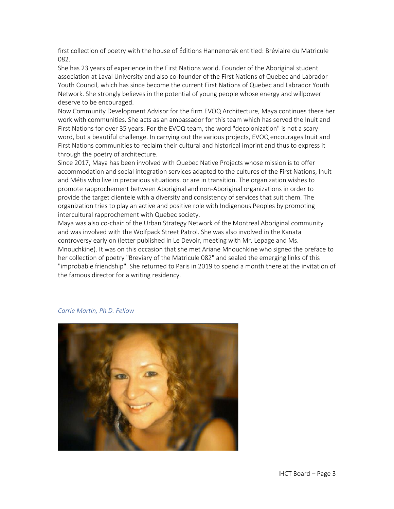first collection of poetry with the house of Éditions Hannenorak entitled: Bréviaire du Matricule 082.

She has 23 years of experience in the First Nations world. Founder of the Aboriginal student association at Laval University and also co-founder of the First Nations of Quebec and Labrador Youth Council, which has since become the current First Nations of Quebec and Labrador Youth Network. She strongly believes in the potential of young people whose energy and willpower deserve to be encouraged.

Now Community Development Advisor for the firm EVOQ Architecture, Maya continues there her work with communities. She acts as an ambassador for this team which has served the Inuit and First Nations for over 35 years. For the EVOQ team, the word "decolonization" is not a scary word, but a beautiful challenge. In carrying out the various projects, EVOQ encourages Inuit and First Nations communities to reclaim their cultural and historical imprint and thus to express it through the poetry of architecture.

Since 2017, Maya has been involved with Quebec Native Projects whose mission is to offer accommodation and social integration services adapted to the cultures of the First Nations, Inuit and Métis who live in precarious situations. or are in transition. The organization wishes to promote rapprochement between Aboriginal and non-Aboriginal organizations in order to provide the target clientele with a diversity and consistency of services that suit them. The organization tries to play an active and positive role with Indigenous Peoples by promoting intercultural rapprochement with Quebec society.

Maya was also co-chair of the Urban Strategy Network of the Montreal Aboriginal community and was involved with the Wolfpack Street Patrol. She was also involved in the Kanata controversy early on (letter published in Le Devoir, meeting with Mr. Lepage and Ms. Mnouchkine). It was on this occasion that she met Ariane Mnouchkine who signed the preface to her collection of poetry "Breviary of the Matricule 082" and sealed the emerging links of this "improbable friendship". She returned to Paris in 2019 to spend a month there at the invitation of the famous director for a writing residency.

## *Carrie Martin, Ph.D. Fellow*

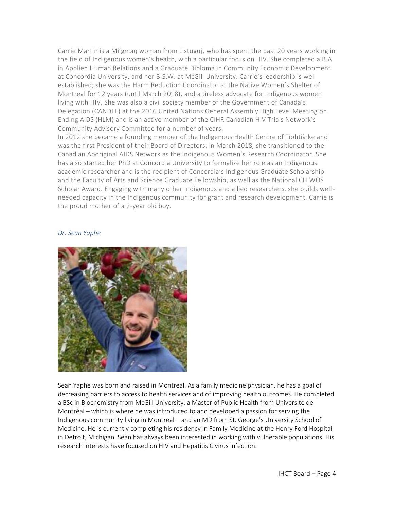Carrie Martin is a Mi'gmaq woman from Listuguj, who has spent the past 20 years working in the field of Indigenous women's health, with a particular focus on HIV. She completed a B.A. in Applied Human Relations and a Graduate Diploma in Community Economic Development at Concordia University, and her B.S.W. at McGill University. Carrie's leadership is well established; she was the Harm Reduction Coordinator at the Native Women's Shelter of Montreal for 12 years (until March 2018), and a tireless advocate for Indigenous women living with HIV. She was also a civil society member of the Government of Canada's Delegation (CANDEL) at the 2016 United Nations General Assembly High Level Meeting on Ending AIDS (HLM) and is an active member of the CIHR Canadian HIV Trials Network's Community Advisory Committee for a number of years.

In 2012 she became a founding member of the Indigenous Health Centre of Tiohtià:ke and was the first President of their Board of Directors. In March 2018, she transitioned to the Canadian Aboriginal AIDS Network as the Indigenous Women's Research Coordinator. She has also started her PhD at Concordia University to formalize her role as an Indigenous academic researcher and is the recipient of Concordia's Indigenous Graduate Scholarship and the Faculty of Arts and Science Graduate Fellowship, as well as the National CHIWOS Scholar Award. Engaging with many other Indigenous and allied researchers, she builds wellneeded capacity in the Indigenous community for grant and research development. Carrie is the proud mother of a 2-year old boy.

# *Dr. Sean Yaphe*



Sean Yaphe was born and raised in Montreal. As a family medicine physician, he has a goal of decreasing barriers to access to health services and of improving health outcomes. He completed a BSc in Biochemistry from McGill University, a Master of Public Health from Université de Montréal – which is where he was introduced to and developed a passion for serving the Indigenous community living in Montreal – and an MD from St. George's University School of Medicine. He is currently completing his residency in Family Medicine at the Henry Ford Hospital in Detroit, Michigan. Sean has always been interested in working with vulnerable populations. His research interests have focused on HIV and Hepatitis C virus infection.